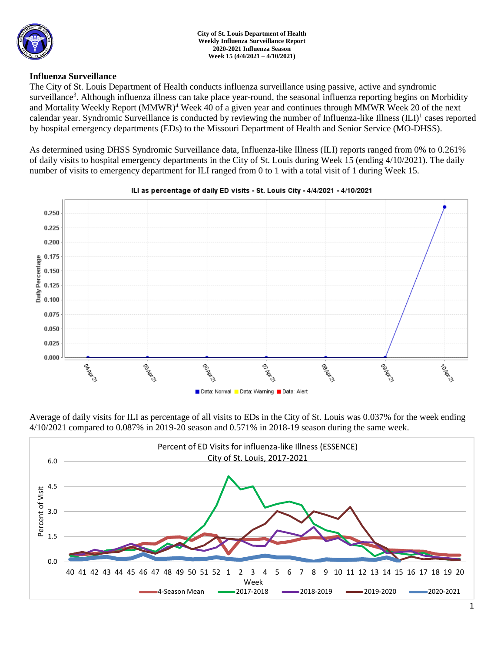

### **Influenza Surveillance**

The City of St. Louis Department of Health conducts influenza surveillance using passive, active and syndromic surveillance<sup>3</sup>. Although influenza illness can take place year-round, the seasonal influenza reporting begins on Morbidity and Mortality Weekly Report (MMWR)<sup>4</sup> Week 40 of a given year and continues through MMWR Week 20 of the next calendar year. Syndromic Surveillance is conducted by reviewing the number of Influenza-like Illness (ILI)<sup>1</sup> cases reported by hospital emergency departments (EDs) to the Missouri Department of Health and Senior Service (MO-DHSS).

As determined using DHSS Syndromic Surveillance data, Influenza-like Illness (ILI) reports ranged from 0% to 0.261% of daily visits to hospital emergency departments in the City of St. Louis during Week 15 (ending 4/10/2021). The daily number of visits to emergency department for ILI ranged from 0 to 1 with a total visit of 1 during Week 15.



### ILI as percentage of daily ED visits - St. Louis City - 4/4/2021 - 4/10/2021

Average of daily visits for ILI as percentage of all visits to EDs in the City of St. Louis was 0.037% for the week ending 4/10/2021 compared to 0.087% in 2019-20 season and 0.571% in 2018-19 season during the same week.

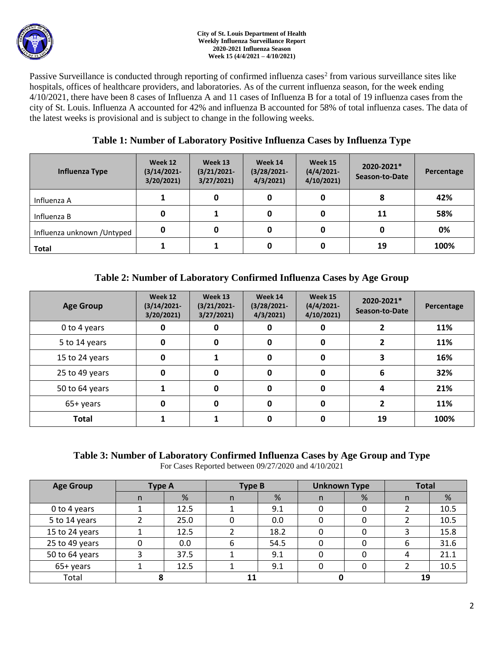

#### **City of St. Louis Department of Health Weekly Influenza Surveillance Report 2020-2021 Influenza Season Week 15 (4/4/2021 – 4/10/2021)**

Passive Surveillance is conducted through reporting of confirmed influenza cases<sup>2</sup> from various surveillance sites like hospitals, offices of healthcare providers, and laboratories. As of the current influenza season, for the week ending 4/10/2021, there have been 8 cases of Influenza A and 11 cases of Influenza B for a total of 19 influenza cases from the city of St. Louis. Influenza A accounted for 42% and influenza B accounted for 58% of total influenza cases. The data of the latest weeks is provisional and is subject to change in the following weeks.

## **Table 1: Number of Laboratory Positive Influenza Cases by Influenza Type**

| Influenza Type              | Week 12<br>$(3/14/2021 -$<br>3/20/2021 | Week 13<br>$(3/21/2021 -$<br>3/27/2021 | Week 14<br>$(3/28/2021 -$<br>4/3/2021 | Week 15<br>$(4/4/2021 -$<br>4/10/2021 | 2020-2021*<br>Season-to-Date | Percentage |
|-----------------------------|----------------------------------------|----------------------------------------|---------------------------------------|---------------------------------------|------------------------------|------------|
| Influenza A                 |                                        |                                        | 0                                     |                                       | 8                            | 42%        |
| Influenza B                 | 0                                      |                                        | 0                                     |                                       | 11                           | 58%        |
| Influenza unknown / Untyped | 0                                      | 0                                      | 0                                     |                                       | 0                            | 0%         |
| <b>Total</b>                |                                        |                                        | 0                                     |                                       | 19                           | 100%       |

# **Table 2: Number of Laboratory Confirmed Influenza Cases by Age Group**

| <b>Age Group</b> | Week 12<br>$(3/14/2021 -$<br>3/20/2021 | Week 13<br>$(3/21/2021 -$<br>3/27/2021 | Week 14<br>$(3/28/2021 -$<br>4/3/2021 | Week 15<br>$(4/4/2021 -$<br>4/10/2021 | 2020-2021*<br>Season-to-Date | Percentage |
|------------------|----------------------------------------|----------------------------------------|---------------------------------------|---------------------------------------|------------------------------|------------|
| 0 to 4 years     | 0                                      |                                        | 0                                     |                                       |                              | 11%        |
| 5 to 14 years    | 0                                      | 0                                      | 0                                     | 0                                     |                              | 11%        |
| 15 to 24 years   | 0                                      |                                        | 0                                     | 0                                     |                              | 16%        |
| 25 to 49 years   | 0                                      | $\bf{0}$                               | 0                                     | 0                                     | 6                            | 32%        |
| 50 to 64 years   |                                        | 0                                      | 0                                     | 0                                     | 4                            | 21%        |
| 65+ years        | 0                                      | O                                      | 0                                     | 0                                     |                              | 11%        |
| <b>Total</b>     |                                        |                                        | 0                                     |                                       | 19                           | 100%       |

### **Table 3: Number of Laboratory Confirmed Influenza Cases by Age Group and Type** For Cases Reported between 09/27/2020 and 4/10/2021

| <b>Age Group</b> | <b>Type A</b> |      | <b>Type B</b> |      | <b>Unknown Type</b> |   | <b>Total</b> |      |
|------------------|---------------|------|---------------|------|---------------------|---|--------------|------|
|                  | n             | %    | n             | %    | n.                  | % | n            | %    |
| 0 to 4 years     |               | 12.5 |               | 9.1  |                     |   |              | 10.5 |
| 5 to 14 years    |               | 25.0 |               | 0.0  |                     |   |              | 10.5 |
| 15 to 24 years   |               | 12.5 |               | 18.2 | 0                   |   |              | 15.8 |
| 25 to 49 years   | 0             | 0.0  | 6             | 54.5 | 0                   |   | 6            | 31.6 |
| 50 to 64 years   |               | 37.5 |               | 9.1  | 0                   |   | 4            | 21.1 |
| 65+ years        |               | 12.5 |               | 9.1  | 0                   |   |              | 10.5 |
| Total            |               |      |               |      |                     |   | 19           |      |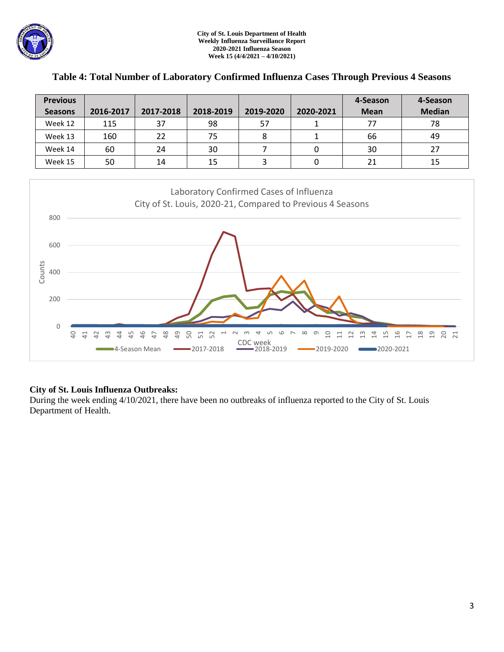

| <b>Previous</b> |           |           |           |           |           | 4-Season    | 4-Season      |
|-----------------|-----------|-----------|-----------|-----------|-----------|-------------|---------------|
| <b>Seasons</b>  | 2016-2017 | 2017-2018 | 2018-2019 | 2019-2020 | 2020-2021 | <b>Mean</b> | <b>Median</b> |
| Week 12         | 115       | 37        | 98        | 57        |           | 77          | 78            |
| Week 13         | 160       | 22        | 75        |           |           | 66          | 49            |
| Week 14         | 60        | 24        | 30        |           |           | 30          | 27            |
| Week 15         | 50        | 14        | 15        |           |           | 21          | 15            |

### **Table 4: Total Number of Laboratory Confirmed Influenza Cases Through Previous 4 Seasons**



### **City of St. Louis Influenza Outbreaks:**

During the week ending 4/10/2021, there have been no outbreaks of influenza reported to the City of St. Louis Department of Health.